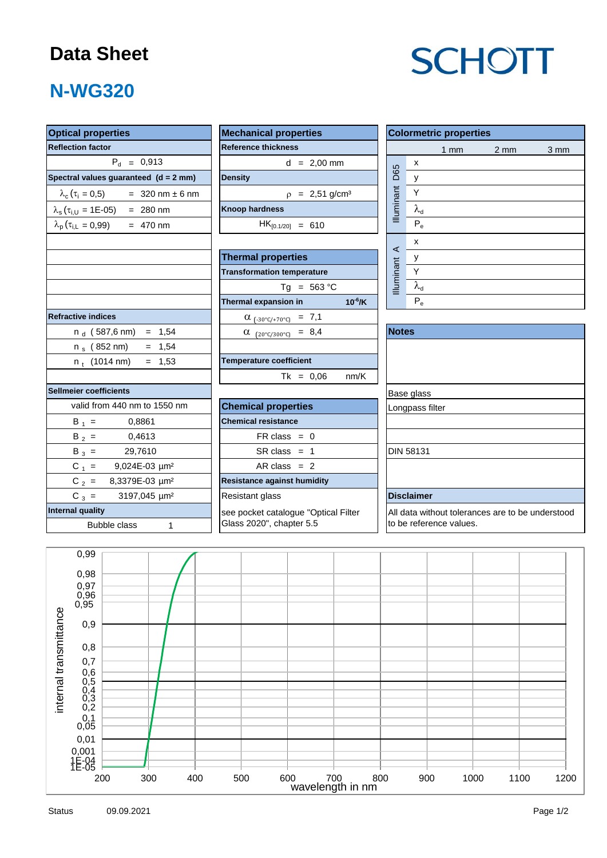### **Data Sheet**

# **SCHOTT**

## **N-WG320**

| <b>Optical properties</b>                  | <b>Mechanical properties</b>            | <b>Colormetric properties</b>                                               |  |  |  |  |  |
|--------------------------------------------|-----------------------------------------|-----------------------------------------------------------------------------|--|--|--|--|--|
| <b>Reflection factor</b>                   | <b>Reference thickness</b>              | $1 \text{ mm}$<br>$2 \, \text{mm}$<br>3 mm                                  |  |  |  |  |  |
| $P_{d} = 0.913$                            | $d = 2,00$ mm                           | $\pmb{\mathsf{x}}$                                                          |  |  |  |  |  |
| Spectral values guaranteed (d = 2 mm)      | <b>Density</b>                          | D65<br>$\mathsf{y}$                                                         |  |  |  |  |  |
| $\lambda_c (\tau_i = 0.5)$ = 320 nm ± 6 nm | $\rho = 2,51$ g/cm <sup>3</sup>         | <b>Illuminant</b><br>$\mathsf Y$                                            |  |  |  |  |  |
| $\lambda_{s}(\tau_{i,U} = 1E-05) = 280$ nm | <b>Knoop hardness</b>                   | $\lambda_{\sf d}$                                                           |  |  |  |  |  |
| $\lambda_p(\tau_{i,L} = 0.99)$ = 470 nm    | $HK_{[0.1/20]} = 610$                   | $P_e$                                                                       |  |  |  |  |  |
|                                            |                                         | x                                                                           |  |  |  |  |  |
|                                            | <b>Thermal properties</b>               | $\prec$<br>у                                                                |  |  |  |  |  |
|                                            | <b>Transformation temperature</b>       | <b>Illuminant</b><br>$\overline{Y}$                                         |  |  |  |  |  |
|                                            | $Tg = 563 °C$                           | $\lambda_{d}$                                                               |  |  |  |  |  |
|                                            | Thermal expansion in<br>$10^{-6}$ /K    | $P_e$                                                                       |  |  |  |  |  |
| <b>Refractive indices</b>                  | $\alpha$ <sub>(-30°C/+70°C)</sub> = 7,1 |                                                                             |  |  |  |  |  |
| $n_d$ (587,6 nm) = 1,54                    | $\alpha$ (20°C/300°C) = 8,4             | <b>Notes</b>                                                                |  |  |  |  |  |
| n <sub>s</sub> (852 nm)<br>$= 1,54$        |                                         |                                                                             |  |  |  |  |  |
| $= 1,53$<br>$n_t$ (1014 nm)                | <b>Temperature coefficient</b>          |                                                                             |  |  |  |  |  |
|                                            | $Tk = 0,06$<br>nm/K                     |                                                                             |  |  |  |  |  |
| <b>Sellmeier coefficients</b>              |                                         | Base glass                                                                  |  |  |  |  |  |
| valid from 440 nm to 1550 nm               | <b>Chemical properties</b>              | Longpass filter                                                             |  |  |  |  |  |
| $B_1 =$<br>0,8861                          | <b>Chemical resistance</b>              |                                                                             |  |  |  |  |  |
| $B_2 =$<br>0,4613                          | $FR \text{ class } = 0$                 |                                                                             |  |  |  |  |  |
| $B_3 =$<br>29,7610                         | $SR class = 1$                          | <b>DIN 58131</b>                                                            |  |  |  |  |  |
| $C_1 =$<br>9,024E-03 µm <sup>2</sup>       | AR class $= 2$                          |                                                                             |  |  |  |  |  |
| $C_2 =$<br>8,3379E-03 µm <sup>2</sup>      | <b>Resistance against humidity</b>      |                                                                             |  |  |  |  |  |
| $C_3 =$<br>3197,045 µm <sup>2</sup>        | Resistant glass                         | <b>Disclaimer</b>                                                           |  |  |  |  |  |
| <b>Internal quality</b>                    | see pocket catalogue "Optical Filter    | All data without tolerances are to be understood<br>to be reference values. |  |  |  |  |  |
| Bubble class<br>$\mathbf{1}$               | Glass 2020", chapter 5.5                |                                                                             |  |  |  |  |  |
|                                            |                                         |                                                                             |  |  |  |  |  |
| 0,99                                       |                                         |                                                                             |  |  |  |  |  |